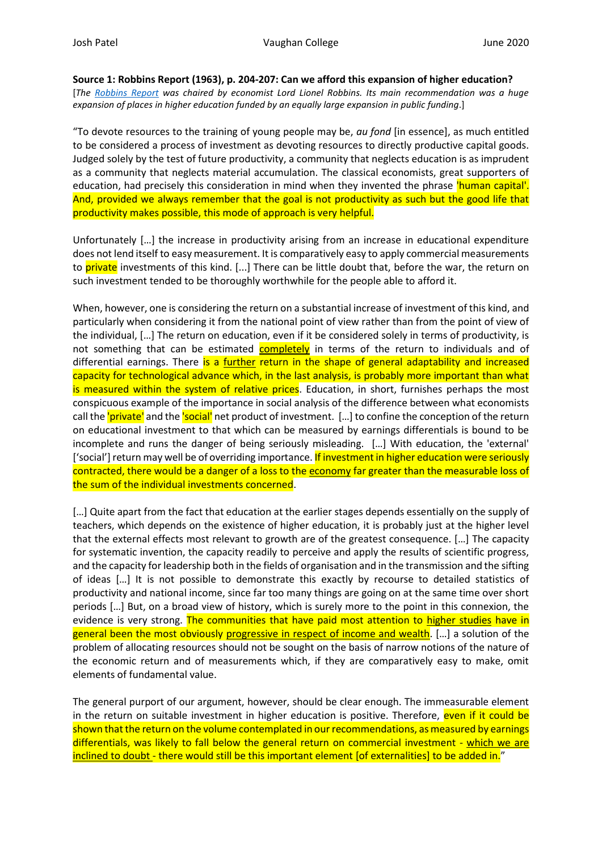**Source 1: Robbins Report (1963), p. 204-207: Can we afford this expansion of higher education?**

[*The [Robbins Report](http://www.educationengland.org.uk/documents/robbins/robbins1963.html) was chaired by economist Lord Lionel Robbins. Its main recommendation was a huge expansion of places in higher education funded by an equally large expansion in public funding.*]

"To devote resources to the training of young people may be, *au fond* [in essence], as much entitled to be considered a process of investment as devoting resources to directly productive capital goods. Judged solely by the test of future productivity, a community that neglects education is as imprudent as a community that neglects material accumulation. The classical economists, great supporters of education, had precisely this consideration in mind when they invented the phrase 'human capital'. And, provided we always remember that the goal is not productivity as such but the good life that productivity makes possible, this mode of approach is very helpful.

Unfortunately […] the increase in productivity arising from an increase in educational expenditure does not lend itself to easy measurement. It is comparatively easy to apply commercial measurements to private investments of this kind. [...] There can be little doubt that, before the war, the return on such investment tended to be thoroughly worthwhile for the people able to afford it.

When, however, one is considering the return on a substantial increase of investment of this kind, and particularly when considering it from the national point of view rather than from the point of view of the individual, […] The return on education, even if it be considered solely in terms of productivity, is not something that can be estimated completely in terms of the return to individuals and of differential earnings. There is a further return in the shape of general adaptability and increased capacity for technological advance which, in the last analysis, is probably more important than what is measured within the system of relative prices. Education, in short, furnishes perhaps the most conspicuous example of the importance in social analysis of the difference between what economists call the 'private' and the 'social' net product of investment. [...] to confine the conception of the return on educational investment to that which can be measured by earnings differentials is bound to be incomplete and runs the danger of being seriously misleading. […] With education, the 'external' ['social'] return may well be of overriding importance. If investment in higher education were seriously contracted, there would be a danger of a loss to the economy far greater than the measurable loss of the sum of the individual investments concerned.

[…] Quite apart from the fact that education at the earlier stages depends essentially on the supply of teachers, which depends on the existence of higher education, it is probably just at the higher level that the external effects most relevant to growth are of the greatest consequence. […] The capacity for systematic invention, the capacity readily to perceive and apply the results of scientific progress, and the capacity for leadership both in the fields of organisation and in the transmission and the sifting of ideas […] It is not possible to demonstrate this exactly by recourse to detailed statistics of productivity and national income, since far too many things are going on at the same time over short periods […] But, on a broad view of history, which is surely more to the point in this connexion, the evidence is very strong. The communities that have paid most attention to higher studies have in general been the most obviously progressive in respect of income and wealth. [...] a solution of the problem of allocating resources should not be sought on the basis of narrow notions of the nature of the economic return and of measurements which, if they are comparatively easy to make, omit elements of fundamental value.

The general purport of our argument, however, should be clear enough. The immeasurable element in the return on suitable investment in higher education is positive. Therefore, even if it could be shown that the return on the volume contemplated in our recommendations, as measured by earnings differentials, was likely to fall below the general return on commercial investment - which we are inclined to doubt - there would still be this important element [of externalities] to be added in."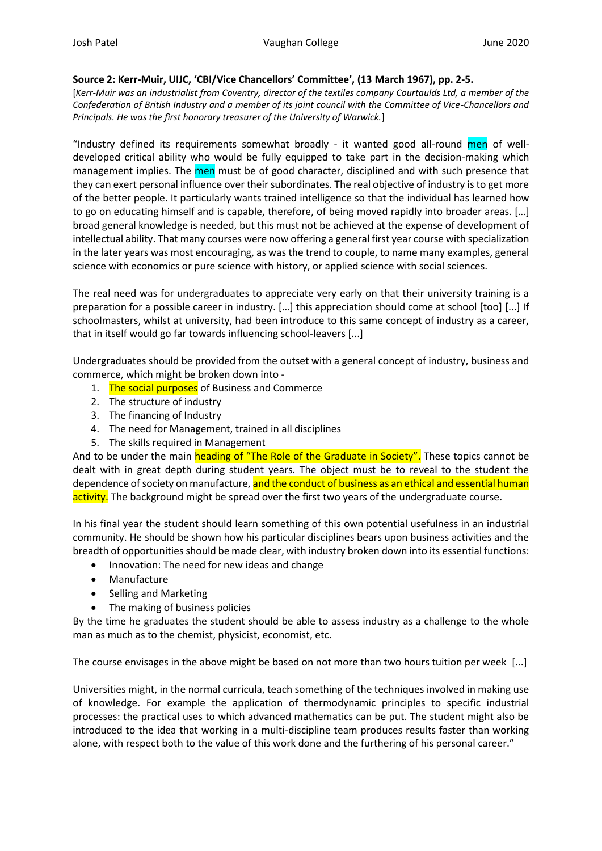## **Source 2: Kerr-Muir, UIJC, 'CBI/Vice Chancellors' Committee', (13 March 1967), pp. 2-5.**

[*Kerr-Muir was an industrialist from Coventry, director of the textiles company Courtaulds Ltd, a member of the Confederation of British Industry and a member of its joint council with the Committee of Vice-Chancellors and Principals. He was the first honorary treasurer of the University of Warwick.*]

"Industry defined its requirements somewhat broadly - it wanted good all-round men of welldeveloped critical ability who would be fully equipped to take part in the decision-making which management implies. The men must be of good character, disciplined and with such presence that they can exert personal influence over their subordinates. The real objective of industry is to get more of the better people. It particularly wants trained intelligence so that the individual has learned how to go on educating himself and is capable, therefore, of being moved rapidly into broader areas. […] broad general knowledge is needed, but this must not be achieved at the expense of development of intellectual ability. That many courses were now offering a general first year course with specialization in the later years was most encouraging, as was the trend to couple, to name many examples, general science with economics or pure science with history, or applied science with social sciences.

The real need was for undergraduates to appreciate very early on that their university training is a preparation for a possible career in industry. […] this appreciation should come at school [too] [...] If schoolmasters, whilst at university, had been introduce to this same concept of industry as a career, that in itself would go far towards influencing school-leavers [...]

Undergraduates should be provided from the outset with a general concept of industry, business and commerce, which might be broken down into -

- 1. The social purposes of Business and Commerce
- 2. The structure of industry
- 3. The financing of Industry
- 4. The need for Management, trained in all disciplines
- 5. The skills required in Management

And to be under the main heading of "The Role of the Graduate in Society". These topics cannot be dealt with in great depth during student years. The object must be to reveal to the student the dependence of society on manufacture, and the conduct of business as an ethical and essential human activity. The background might be spread over the first two years of the undergraduate course.

In his final year the student should learn something of this own potential usefulness in an industrial community. He should be shown how his particular disciplines bears upon business activities and the breadth of opportunities should be made clear, with industry broken down into its essential functions:

- Innovation: The need for new ideas and change
- Manufacture
- Selling and Marketing
- The making of business policies

By the time he graduates the student should be able to assess industry as a challenge to the whole man as much as to the chemist, physicist, economist, etc.

The course envisages in the above might be based on not more than two hours tuition per week [...]

Universities might, in the normal curricula, teach something of the techniques involved in making use of knowledge. For example the application of thermodynamic principles to specific industrial processes: the practical uses to which advanced mathematics can be put. The student might also be introduced to the idea that working in a multi-discipline team produces results faster than working alone, with respect both to the value of this work done and the furthering of his personal career."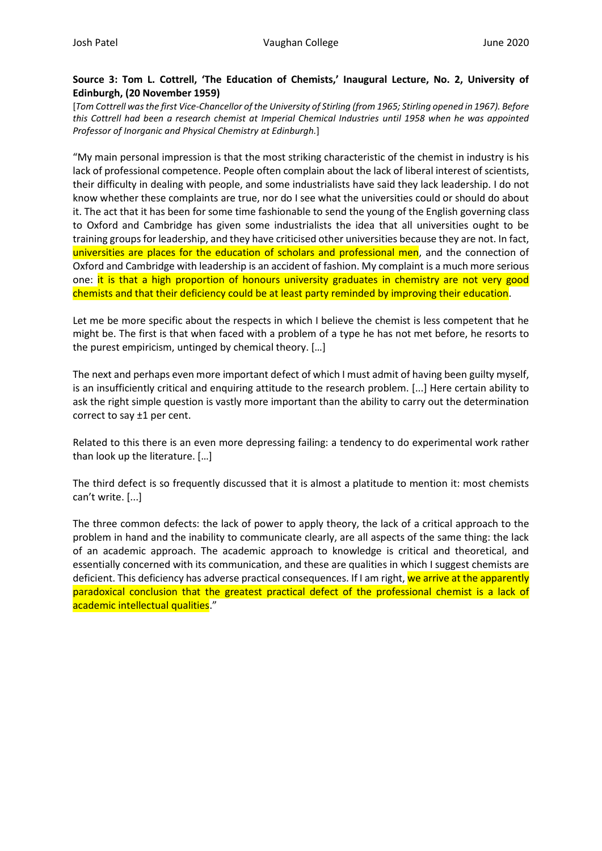# **Source 3: Tom L. Cottrell, 'The Education of Chemists,' Inaugural Lecture, No. 2, University of Edinburgh, (20 November 1959)**

[*Tom Cottrell was the first Vice-Chancellor of the University of Stirling (from 1965; Stirling opened in 1967). Before this Cottrell had been a research chemist at Imperial Chemical Industries until 1958 when he was appointed Professor of Inorganic and Physical Chemistry at Edinburgh.*]

"My main personal impression is that the most striking characteristic of the chemist in industry is his lack of professional competence. People often complain about the lack of liberal interest of scientists, their difficulty in dealing with people, and some industrialists have said they lack leadership. I do not know whether these complaints are true, nor do I see what the universities could or should do about it. The act that it has been for some time fashionable to send the young of the English governing class to Oxford and Cambridge has given some industrialists the idea that all universities ought to be training groups for leadership, and they have criticised other universities because they are not. In fact, universities are places for the education of scholars and professional men, and the connection of Oxford and Cambridge with leadership is an accident of fashion. My complaint is a much more serious one: it is that a high proportion of honours university graduates in chemistry are not very good chemists and that their deficiency could be at least party reminded by improving their education.

Let me be more specific about the respects in which I believe the chemist is less competent that he might be. The first is that when faced with a problem of a type he has not met before, he resorts to the purest empiricism, untinged by chemical theory. […]

The next and perhaps even more important defect of which I must admit of having been guilty myself, is an insufficiently critical and enquiring attitude to the research problem. [...] Here certain ability to ask the right simple question is vastly more important than the ability to carry out the determination correct to say ±1 per cent.

Related to this there is an even more depressing failing: a tendency to do experimental work rather than look up the literature. […]

The third defect is so frequently discussed that it is almost a platitude to mention it: most chemists can't write. [...]

The three common defects: the lack of power to apply theory, the lack of a critical approach to the problem in hand and the inability to communicate clearly, are all aspects of the same thing: the lack of an academic approach. The academic approach to knowledge is critical and theoretical, and essentially concerned with its communication, and these are qualities in which I suggest chemists are deficient. This deficiency has adverse practical consequences. If I am right, we arrive at the apparently paradoxical conclusion that the greatest practical defect of the professional chemist is a lack of academic intellectual qualities."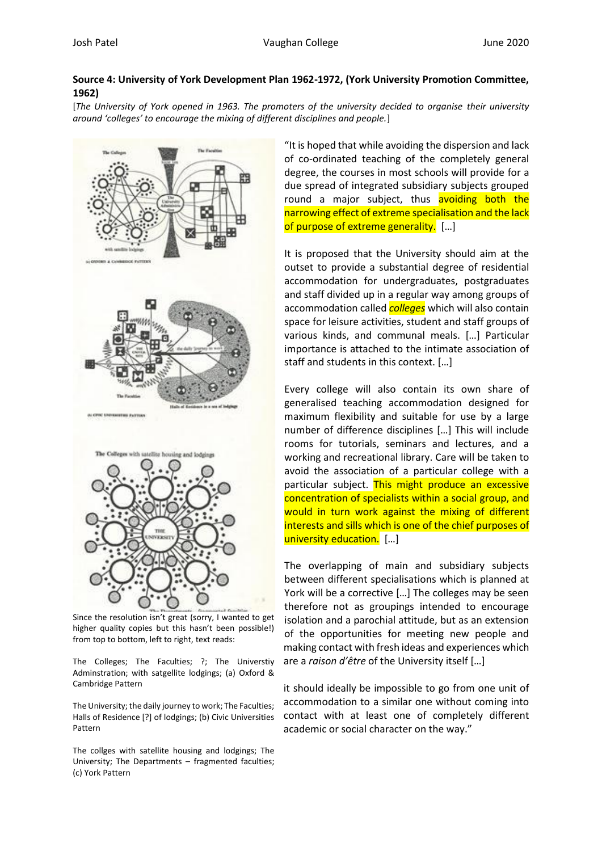# **Source 4: University of York Development Plan 1962-1972, (York University Promotion Committee, 1962)**

[*The University of York opened in 1963. The promoters of the university decided to organise their university around 'colleges' to encourage the mixing of different disciplines and people.*]



Since the resolution isn't great (sorry, I wanted to get higher quality copies but this hasn't been possible!) from top to bottom, left to right, text reads:

The Colleges; The Faculties; ?; The Universtiy Adminstration; with satgellite lodgings; (a) Oxford & Cambridge Pattern

The University; the daily journey to work; The Faculties; Halls of Residence [?] of lodgings; (b) Civic Universities Pattern

The collges with satellite housing and lodgings; The University; The Departments – fragmented faculties; (c) York Pattern

"It is hoped that while avoiding the dispersion and lack of co-ordinated teaching of the completely general degree, the courses in most schools will provide for a due spread of integrated subsidiary subjects grouped round a major subject, thus avoiding both the narrowing effect of extreme specialisation and the lack of purpose of extreme generality. [...]

It is proposed that the University should aim at the outset to provide a substantial degree of residential accommodation for undergraduates, postgraduates and staff divided up in a regular way among groups of accommodation called *colleges* which will also contain space for leisure activities, student and staff groups of various kinds, and communal meals. […] Particular importance is attached to the intimate association of staff and students in this context. […]

Every college will also contain its own share of generalised teaching accommodation designed for maximum flexibility and suitable for use by a large number of difference disciplines […] This will include rooms for tutorials, seminars and lectures, and a working and recreational library. Care will be taken to avoid the association of a particular college with a particular subject. This might produce an excessive concentration of specialists within a social group, and would in turn work against the mixing of different interests and sills which is one of the chief purposes of university education. […]

The overlapping of main and subsidiary subjects between different specialisations which is planned at York will be a corrective […] The colleges may be seen therefore not as groupings intended to encourage isolation and a parochial attitude, but as an extension of the opportunities for meeting new people and making contact with fresh ideas and experiences which are a *raison d'être* of the University itself […]

it should ideally be impossible to go from one unit of accommodation to a similar one without coming into contact with at least one of completely different academic or social character on the way."